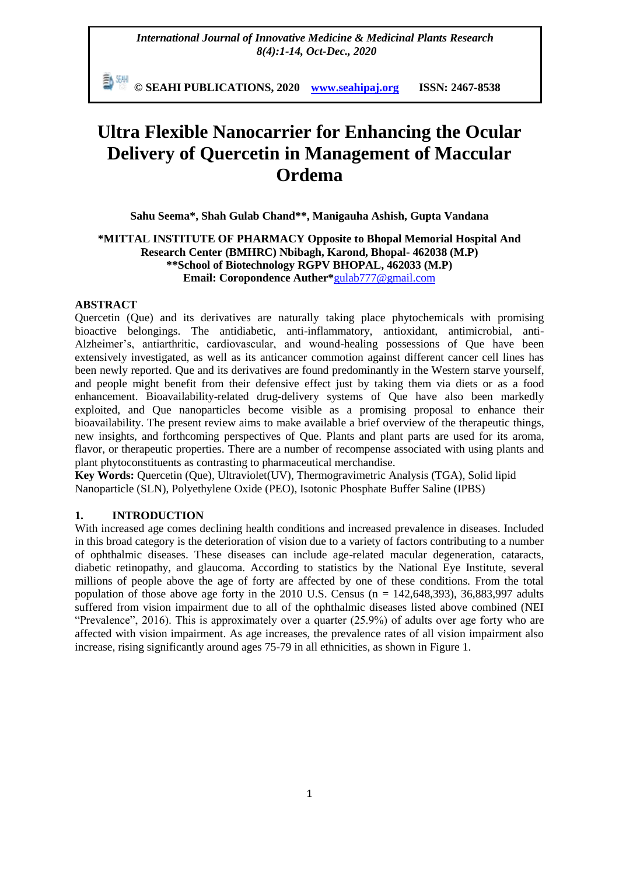*International Journal of Innovative Medicine & Medicinal Plants Research 8(4):1-14, Oct-Dec., 2020*

動網 **© SEAHI PUBLICATIONS, 2020 [www.seahipaj.org](http://www.seahipaj.org/) ISSN: 2467-8538**

# **Ultra Flexible Nanocarrier for Enhancing the Ocular Delivery of Quercetin in Management of Maccular Ordema**

**Sahu Seema\*, Shah Gulab Chand\*\*, Manigauha Ashish, Gupta Vandana**

# **\*MITTAL INSTITUTE OF PHARMACY Opposite to Bhopal Memorial Hospital And Research Center (BMHRC) Nbibagh, Karond, Bhopal- 462038 (M.P) \*\*School of Biotechnology RGPV BHOPAL, 462033 (M.P) Email: Coropondence Auther\***[gulab777@gmail.com](mailto:gulab777@gmail.com)

## **ABSTRACT**

Quercetin (Que) and its derivatives are naturally taking place phytochemicals with promising bioactive belongings. The antidiabetic, anti-inflammatory, antioxidant, antimicrobial, anti-Alzheimer's, antiarthritic, cardiovascular, and wound-healing possessions of Que have been extensively investigated, as well as its anticancer commotion against different cancer cell lines has been newly reported. Que and its derivatives are found predominantly in the Western starve yourself, and people might benefit from their defensive effect just by taking them via diets or as a food enhancement. Bioavailability-related drug-delivery systems of Que have also been markedly exploited, and Que nanoparticles become visible as a promising proposal to enhance their bioavailability. The present review aims to make available a brief overview of the therapeutic things, new insights, and forthcoming perspectives of Que. Plants and plant parts are used for its aroma, flavor, or therapeutic properties. There are a number of recompense associated with using plants and plant phytoconstituents as contrasting to pharmaceutical merchandise.

**Key Words:** Quercetin (Que), Ultraviolet(UV), Thermogravimetric Analysis (TGA), Solid lipid Nanoparticle (SLN), Polyethylene Oxide (PEO), Isotonic Phosphate Buffer Saline (IPBS)

## **1. INTRODUCTION**

With increased age comes declining health conditions and increased prevalence in diseases. Included in this broad category is the deterioration of vision due to a variety of factors contributing to a number of ophthalmic diseases. These diseases can include age-related macular degeneration, cataracts, diabetic retinopathy, and glaucoma. According to statistics by the National Eye Institute, several millions of people above the age of forty are affected by one of these conditions. From the total population of those above age forty in the 2010 U.S. Census ( $n = 142,648,393$ ), 36,883,997 adults suffered from vision impairment due to all of the ophthalmic diseases listed above combined (NEI "Prevalence", 2016). This is approximately over a quarter (25.9%) of adults over age forty who are affected with vision impairment. As age increases, the prevalence rates of all vision impairment also increase, rising significantly around ages 75-79 in all ethnicities, as shown in Figure 1.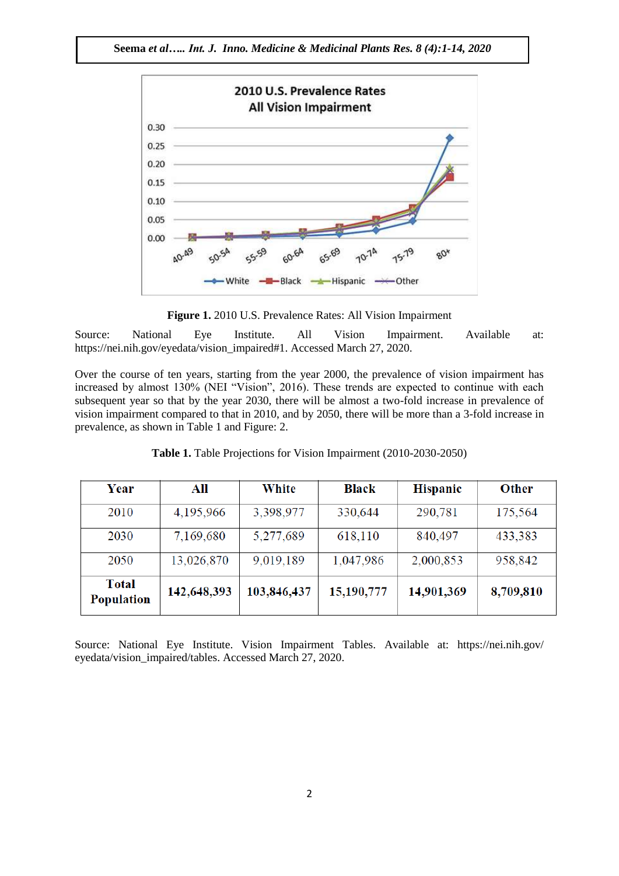

**Figure 1.** 2010 U.S. Prevalence Rates: All Vision Impairment

Source: National Eye Institute. All Vision Impairment. Available at: https://nei.nih.gov/eyedata/vision\_impaired#1. Accessed March 27, 2020.

Over the course of ten years, starting from the year 2000, the prevalence of vision impairment has increased by almost 130% (NEI "Vision", 2016). These trends are expected to continue with each subsequent year so that by the year 2030, there will be almost a two-fold increase in prevalence of vision impairment compared to that in 2010, and by 2050, there will be more than a 3-fold increase in prevalence, as shown in Table 1 and Figure: 2.

| Year                       | All         | White       | <b>Black</b> | <b>Hispanic</b> | <b>Other</b> |
|----------------------------|-------------|-------------|--------------|-----------------|--------------|
| 2010                       | 4,195,966   | 3,398,977   | 330,644      | 290,781         | 175,564      |
| 2030                       | 7,169,680   | 5,277,689   | 618,110      | 840,497         | 433,383      |
| 2050                       | 13,026,870  | 9,019,189   | 1,047,986    | 2,000,853       | 958,842      |
| <b>Total</b><br>Population | 142,648,393 | 103,846,437 | 15,190,777   | 14,901,369      | 8,709,810    |

Table 1. Table Projections for Vision Impairment (2010-2030-2050)

Source: National Eye Institute. Vision Impairment Tables. Available at: https://nei.nih.gov/ eyedata/vision\_impaired/tables. Accessed March 27, 2020.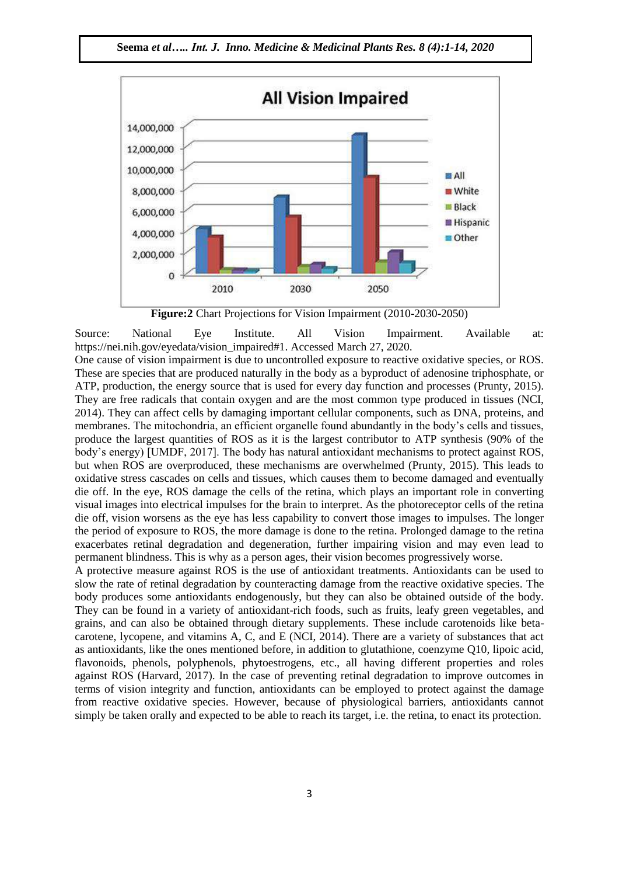

**Figure:2** Chart Projections for Vision Impairment (2010-2030-2050)

Source: National Eye Institute. All Vision Impairment. Available at: https://nei.nih.gov/eyedata/vision\_impaired#1. Accessed March 27, 2020.

One cause of vision impairment is due to uncontrolled exposure to reactive oxidative species, or ROS. These are species that are produced naturally in the body as a byproduct of adenosine triphosphate, or ATP, production, the energy source that is used for every day function and processes (Prunty, 2015). They are free radicals that contain oxygen and are the most common type produced in tissues (NCI, 2014). They can affect cells by damaging important cellular components, such as DNA, proteins, and membranes. The mitochondria, an efficient organelle found abundantly in the body's cells and tissues, produce the largest quantities of ROS as it is the largest contributor to ATP synthesis (90% of the body's energy) [UMDF, 2017]. The body has natural antioxidant mechanisms to protect against ROS, but when ROS are overproduced, these mechanisms are overwhelmed (Prunty, 2015). This leads to oxidative stress cascades on cells and tissues, which causes them to become damaged and eventually die off. In the eye, ROS damage the cells of the retina, which plays an important role in converting visual images into electrical impulses for the brain to interpret. As the photoreceptor cells of the retina die off, vision worsens as the eye has less capability to convert those images to impulses. The longer the period of exposure to ROS, the more damage is done to the retina. Prolonged damage to the retina exacerbates retinal degradation and degeneration, further impairing vision and may even lead to permanent blindness. This is why as a person ages, their vision becomes progressively worse.

A protective measure against ROS is the use of antioxidant treatments. Antioxidants can be used to slow the rate of retinal degradation by counteracting damage from the reactive oxidative species. The body produces some antioxidants endogenously, but they can also be obtained outside of the body. They can be found in a variety of antioxidant-rich foods, such as fruits, leafy green vegetables, and grains, and can also be obtained through dietary supplements. These include carotenoids like betacarotene, lycopene, and vitamins A, C, and E (NCI, 2014). There are a variety of substances that act as antioxidants, like the ones mentioned before, in addition to glutathione, coenzyme Q10, lipoic acid, flavonoids, phenols, polyphenols, phytoestrogens, etc., all having different properties and roles against ROS (Harvard, 2017). In the case of preventing retinal degradation to improve outcomes in terms of vision integrity and function, antioxidants can be employed to protect against the damage from reactive oxidative species. However, because of physiological barriers, antioxidants cannot simply be taken orally and expected to be able to reach its target, i.e. the retina, to enact its protection.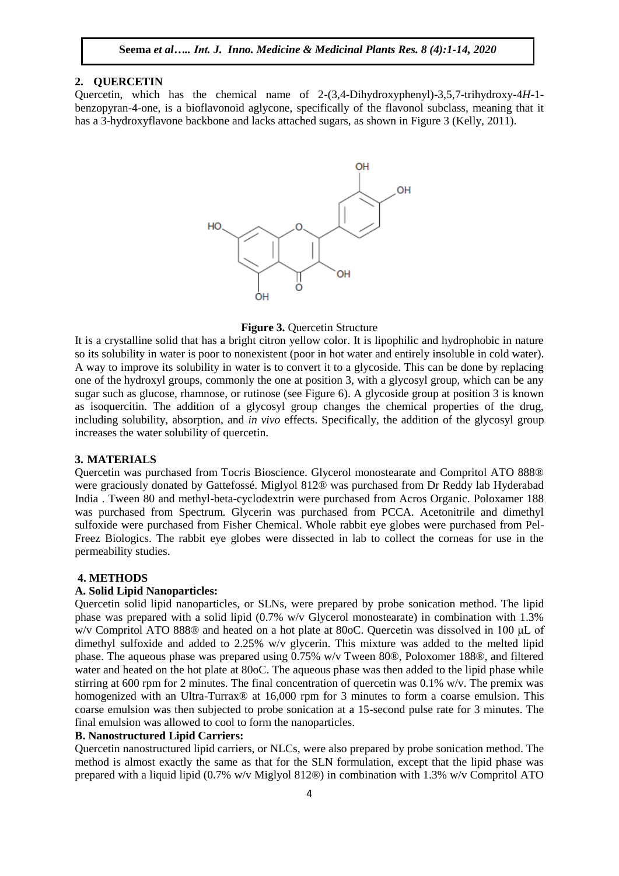#### **2. QUERCETIN**

Quercetin, which has the chemical name of 2-(3,4-Dihydroxyphenyl)-3,5,7-trihydroxy-4*H*-1 benzopyran-4-one, is a bioflavonoid aglycone, specifically of the flavonol subclass, meaning that it has a 3-hydroxyflavone backbone and lacks attached sugars, as shown in Figure 3 (Kelly, 2011).



#### **Figure 3. Ouercetin Structure**

It is a crystalline solid that has a bright citron yellow color. It is lipophilic and hydrophobic in nature so its solubility in water is poor to nonexistent (poor in hot water and entirely insoluble in cold water). A way to improve its solubility in water is to convert it to a glycoside. This can be done by replacing one of the hydroxyl groups, commonly the one at position 3, with a glycosyl group, which can be any sugar such as glucose, rhamnose, or rutinose (see Figure 6). A glycoside group at position 3 is known as isoquercitin. The addition of a glycosyl group changes the chemical properties of the drug, including solubility, absorption, and *in vivo* effects. Specifically, the addition of the glycosyl group increases the water solubility of quercetin.

#### **3. MATERIALS**

Quercetin was purchased from Tocris Bioscience. Glycerol monostearate and Compritol ATO 888® were graciously donated by Gattefossé. Miglyol 812® was purchased from Dr Reddy lab Hyderabad India . Tween 80 and methyl-beta-cyclodextrin were purchased from Acros Organic. Poloxamer 188 was purchased from Spectrum. Glycerin was purchased from PCCA. Acetonitrile and dimethyl sulfoxide were purchased from Fisher Chemical. Whole rabbit eye globes were purchased from Pel-Freez Biologics. The rabbit eye globes were dissected in lab to collect the corneas for use in the permeability studies.

#### **4. METHODS**

# **A. Solid Lipid Nanoparticles:**

Quercetin solid lipid nanoparticles, or SLNs, were prepared by probe sonication method. The lipid phase was prepared with a solid lipid (0.7% w/v Glycerol monostearate) in combination with 1.3% w/v Compritol ATO 888® and heated on a hot plate at 80oC. Quercetin was dissolved in 100 μL of dimethyl sulfoxide and added to 2.25% w/v glycerin. This mixture was added to the melted lipid phase. The aqueous phase was prepared using 0.75% w/v Tween 80®, Poloxomer 188®, and filtered water and heated on the hot plate at 80oC. The aqueous phase was then added to the lipid phase while stirring at 600 rpm for 2 minutes. The final concentration of quercetin was  $0.1\%$  w/v. The premix was homogenized with an Ultra-Turrax<sup>®</sup> at 16,000 rpm for 3 minutes to form a coarse emulsion. This coarse emulsion was then subjected to probe sonication at a 15-second pulse rate for 3 minutes. The final emulsion was allowed to cool to form the nanoparticles.

#### **B. Nanostructured Lipid Carriers:**

Quercetin nanostructured lipid carriers, or NLCs, were also prepared by probe sonication method. The method is almost exactly the same as that for the SLN formulation, except that the lipid phase was prepared with a liquid lipid (0.7% w/v Miglyol 812®) in combination with 1.3% w/v Compritol ATO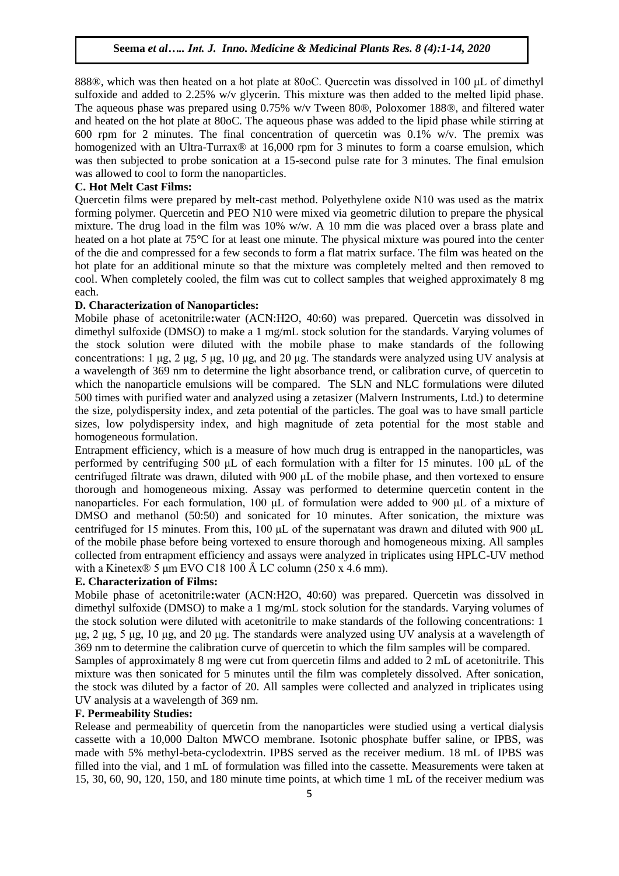888®, which was then heated on a hot plate at 80oC. Quercetin was dissolved in 100 μL of dimethyl sulfoxide and added to 2.25% w/v glycerin. This mixture was then added to the melted lipid phase. The aqueous phase was prepared using 0.75% w/v Tween 80®, Poloxomer 188®, and filtered water and heated on the hot plate at 80oC. The aqueous phase was added to the lipid phase while stirring at 600 rpm for 2 minutes. The final concentration of quercetin was 0.1% w/v. The premix was homogenized with an Ultra-Turrax® at 16,000 rpm for 3 minutes to form a coarse emulsion, which was then subjected to probe sonication at a 15-second pulse rate for 3 minutes. The final emulsion was allowed to cool to form the nanoparticles.

# **C. Hot Melt Cast Films:**

Quercetin films were prepared by melt-cast method. Polyethylene oxide N10 was used as the matrix forming polymer. Quercetin and PEO N10 were mixed via geometric dilution to prepare the physical mixture. The drug load in the film was 10% w/w. A 10 mm die was placed over a brass plate and heated on a hot plate at 75°C for at least one minute. The physical mixture was poured into the center of the die and compressed for a few seconds to form a flat matrix surface. The film was heated on the hot plate for an additional minute so that the mixture was completely melted and then removed to cool. When completely cooled, the film was cut to collect samples that weighed approximately 8 mg each.

#### **D. Characterization of Nanoparticles:**

Mobile phase of acetonitrile**:**water (ACN:H2O, 40:60) was prepared. Quercetin was dissolved in dimethyl sulfoxide (DMSO) to make a 1 mg/mL stock solution for the standards. Varying volumes of the stock solution were diluted with the mobile phase to make standards of the following concentrations: 1 μg, 2 μg, 5 μg, 10 μg, and 20 μg. The standards were analyzed using UV analysis at a wavelength of 369 nm to determine the light absorbance trend, or calibration curve, of quercetin to which the nanoparticle emulsions will be compared. The SLN and NLC formulations were diluted 500 times with purified water and analyzed using a zetasizer (Malvern Instruments, Ltd.) to determine the size, polydispersity index, and zeta potential of the particles. The goal was to have small particle sizes, low polydispersity index, and high magnitude of zeta potential for the most stable and homogeneous formulation.

Entrapment efficiency, which is a measure of how much drug is entrapped in the nanoparticles, was performed by centrifuging 500 μL of each formulation with a filter for 15 minutes. 100 μL of the centrifuged filtrate was drawn, diluted with 900 μL of the mobile phase, and then vortexed to ensure thorough and homogeneous mixing. Assay was performed to determine quercetin content in the nanoparticles. For each formulation, 100 μL of formulation were added to 900 μL of a mixture of DMSO and methanol (50:50) and sonicated for 10 minutes. After sonication, the mixture was centrifuged for 15 minutes. From this, 100 μL of the supernatant was drawn and diluted with 900 μL of the mobile phase before being vortexed to ensure thorough and homogeneous mixing. All samples collected from entrapment efficiency and assays were analyzed in triplicates using HPLC-UV method with a Kinetex® 5  $\mu$ m EVO C18 100 Å LC column (250 x 4.6 mm).

#### **E. Characterization of Films:**

Mobile phase of acetonitrile**:**water (ACN:H2O, 40:60) was prepared. Quercetin was dissolved in dimethyl sulfoxide (DMSO) to make a 1 mg/mL stock solution for the standards. Varying volumes of the stock solution were diluted with acetonitrile to make standards of the following concentrations: 1 μg, 2 μg, 5 μg, 10 μg, and 20 μg. The standards were analyzed using UV analysis at a wavelength of 369 nm to determine the calibration curve of quercetin to which the film samples will be compared.

Samples of approximately 8 mg were cut from quercetin films and added to 2 mL of acetonitrile. This mixture was then sonicated for 5 minutes until the film was completely dissolved. After sonication, the stock was diluted by a factor of 20. All samples were collected and analyzed in triplicates using UV analysis at a wavelength of 369 nm.

# **F. Permeability Studies:**

Release and permeability of quercetin from the nanoparticles were studied using a vertical dialysis cassette with a 10,000 Dalton MWCO membrane. Isotonic phosphate buffer saline, or IPBS, was made with 5% methyl-beta-cyclodextrin. IPBS served as the receiver medium. 18 mL of IPBS was filled into the vial, and 1 mL of formulation was filled into the cassette. Measurements were taken at 15, 30, 60, 90, 120, 150, and 180 minute time points, at which time 1 mL of the receiver medium was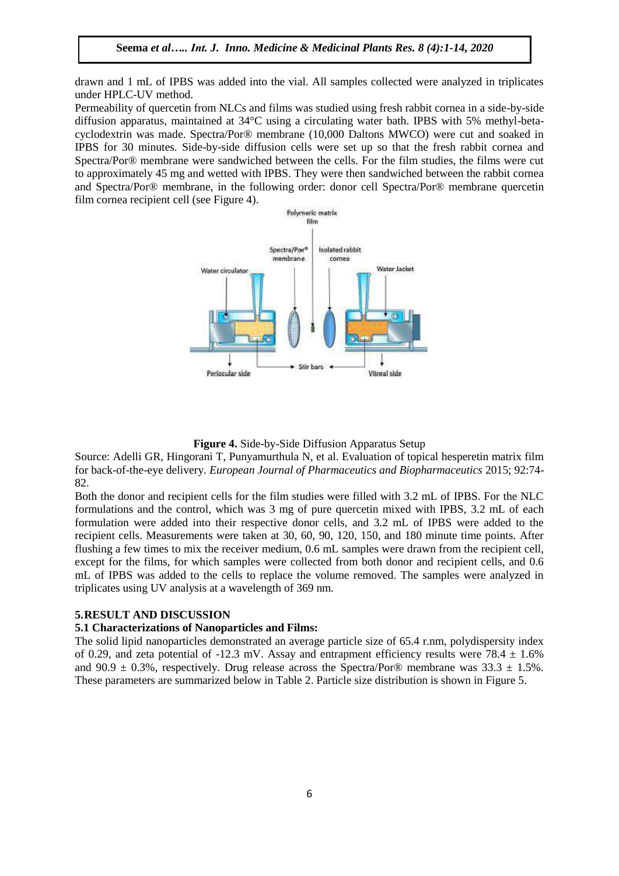drawn and 1 mL of IPBS was added into the vial. All samples collected were analyzed in triplicates under HPLC-UV method.

Permeability of quercetin from NLCs and films was studied using fresh rabbit cornea in a side-by-side diffusion apparatus, maintained at 34°C using a circulating water bath. IPBS with 5% methyl-betacyclodextrin was made. Spectra/Por® membrane (10,000 Daltons MWCO) were cut and soaked in IPBS for 30 minutes. Side-by-side diffusion cells were set up so that the fresh rabbit cornea and Spectra/Por® membrane were sandwiched between the cells. For the film studies, the films were cut to approximately 45 mg and wetted with IPBS. They were then sandwiched between the rabbit cornea and Spectra/Por® membrane, in the following order: donor cell Spectra/Por® membrane quercetin film cornea recipient cell (see Figure 4).



#### **Figure 4.** Side-by-Side Diffusion Apparatus Setup

Source: Adelli GR, Hingorani T, Punyamurthula N, et al. Evaluation of topical hesperetin matrix film for back-of-the-eye delivery. *European Journal of Pharmaceutics and Biopharmaceutics* 2015; 92:74- 82.

Both the donor and recipient cells for the film studies were filled with 3.2 mL of IPBS. For the NLC formulations and the control, which was 3 mg of pure quercetin mixed with IPBS, 3.2 mL of each formulation were added into their respective donor cells, and 3.2 mL of IPBS were added to the recipient cells. Measurements were taken at 30, 60, 90, 120, 150, and 180 minute time points. After flushing a few times to mix the receiver medium, 0.6 mL samples were drawn from the recipient cell, except for the films, for which samples were collected from both donor and recipient cells, and 0.6 mL of IPBS was added to the cells to replace the volume removed. The samples were analyzed in triplicates using UV analysis at a wavelength of 369 nm.

#### **5.RESULT AND DISCUSSION**

#### **5.1 Characterizations of Nanoparticles and Films:**

The solid lipid nanoparticles demonstrated an average particle size of 65.4 r.nm, polydispersity index of 0.29, and zeta potential of -12.3 mV. Assay and entrapment efficiency results were  $78.4 \pm 1.6\%$ and 90.9  $\pm$  0.3%, respectively. Drug release across the Spectra/Por® membrane was 33.3  $\pm$  1.5%. These parameters are summarized below in Table 2. Particle size distribution is shown in Figure 5.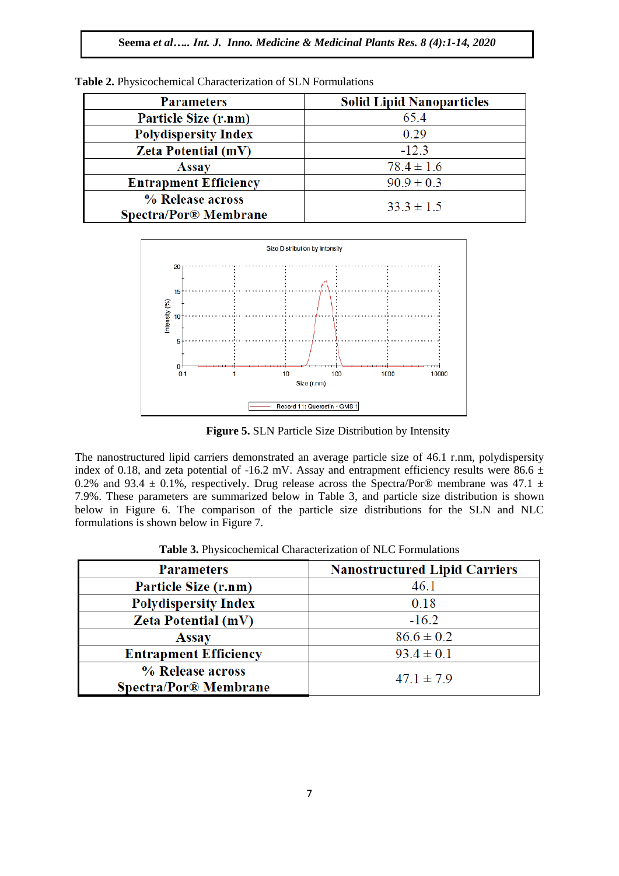| <b>Parameters</b>                                | <b>Solid Lipid Nanoparticles</b> |  |  |  |
|--------------------------------------------------|----------------------------------|--|--|--|
| Particle Size (r.nm)                             | 65.4                             |  |  |  |
| <b>Polydispersity Index</b>                      | 0.29                             |  |  |  |
| <b>Zeta Potential (mV)</b>                       | $-12.3$                          |  |  |  |
| <b>Assay</b>                                     | $78.4 \pm 1.6$                   |  |  |  |
| <b>Entrapment Efficiency</b>                     | $90.9 \pm 0.3$                   |  |  |  |
| % Release across<br><b>Spectra/Por® Membrane</b> | $33.3 \pm 1.5$                   |  |  |  |

**Table 2.** Physicochemical Characterization of SLN Formulations



**Figure 5.** SLN Particle Size Distribution by Intensity

The nanostructured lipid carriers demonstrated an average particle size of 46.1 r.nm, polydispersity index of 0.18, and zeta potential of -16.2 mV. Assay and entrapment efficiency results were 86.6  $\pm$ 0.2% and 93.4  $\pm$  0.1%, respectively. Drug release across the Spectra/Por® membrane was 47.1  $\pm$ 7.9%. These parameters are summarized below in Table 3, and particle size distribution is shown below in Figure 6. The comparison of the particle size distributions for the SLN and NLC formulations is shown below in Figure 7.

| <b>Parameters</b>                         | <b>Nanostructured Lipid Carriers</b> |  |  |  |
|-------------------------------------------|--------------------------------------|--|--|--|
| Particle Size (r.nm)                      | 46.1                                 |  |  |  |
| <b>Polydispersity Index</b>               | 0.18                                 |  |  |  |
| <b>Zeta Potential (mV)</b>                | $-16.2$                              |  |  |  |
| <b>Assay</b>                              | $86.6 \pm 0.2$                       |  |  |  |
| <b>Entrapment Efficiency</b>              | $93.4 \pm 0.1$                       |  |  |  |
| % Release across<br>Spectra/Por® Membrane | $47.1 \pm 7.9$                       |  |  |  |

**Table 3.** Physicochemical Characterization of NLC Formulations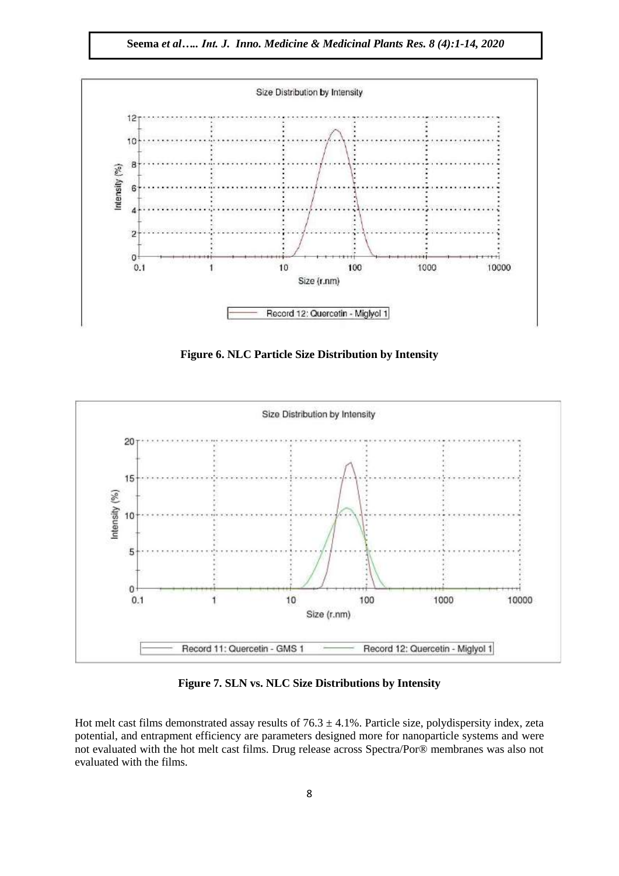**Seema** *et al….. Int. J. Inno. Medicine & Medicinal Plants Res. 8 (4):1-14, 2020*



**Figure 6. NLC Particle Size Distribution by Intensity**



**Figure 7. SLN vs. NLC Size Distributions by Intensity**

Hot melt cast films demonstrated assay results of  $76.3 \pm 4.1\%$ . Particle size, polydispersity index, zeta potential, and entrapment efficiency are parameters designed more for nanoparticle systems and were not evaluated with the hot melt cast films. Drug release across Spectra/Por® membranes was also not evaluated with the films.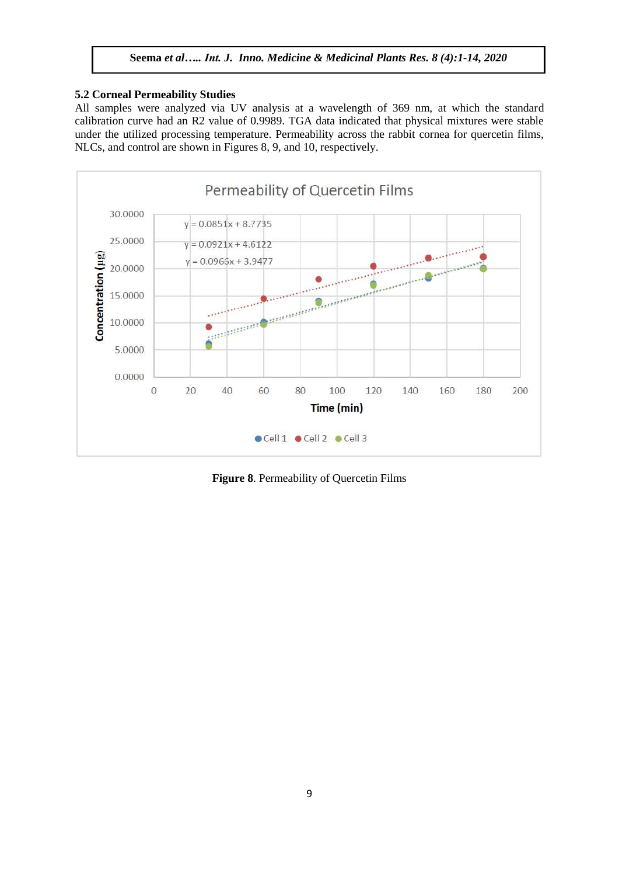# **5.2 Corneal Permeability Studies**

All samples were analyzed via UV analysis at a wavelength of 369 nm, at which the standard calibration curve had an R2 value of 0.9989. TGA data indicated that physical mixtures were stable under the utilized processing temperature. Permeability across the rabbit cornea for quercetin films, NLCs, and control are shown in Figures 8, 9, and 10, respectively.



**Figure 8**. Permeability of Quercetin Films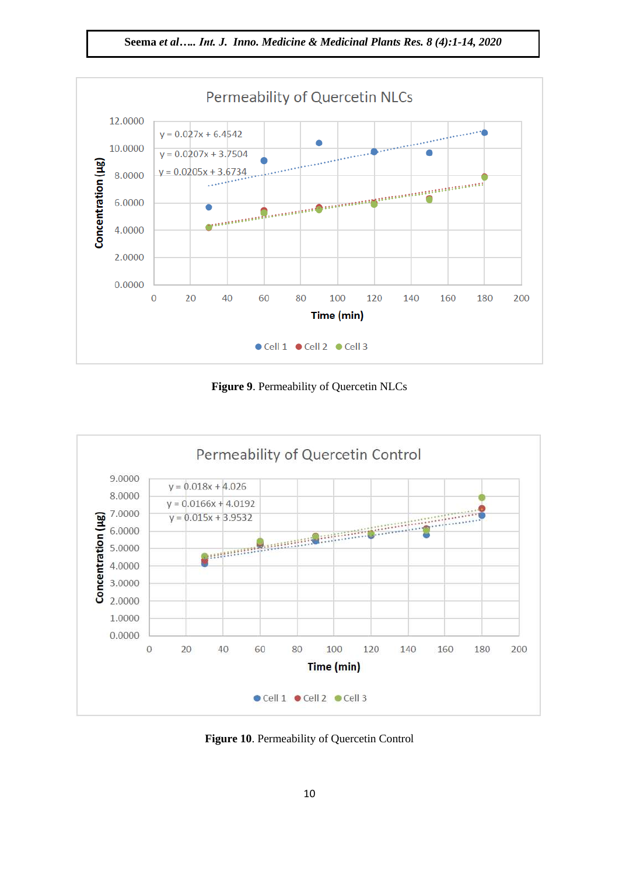**Seema** *et al….. Int. J. Inno. Medicine & Medicinal Plants Res. 8 (4):1-14, 2020*



**Figure 9**. Permeability of Quercetin NLCs



**Figure 10**. Permeability of Quercetin Control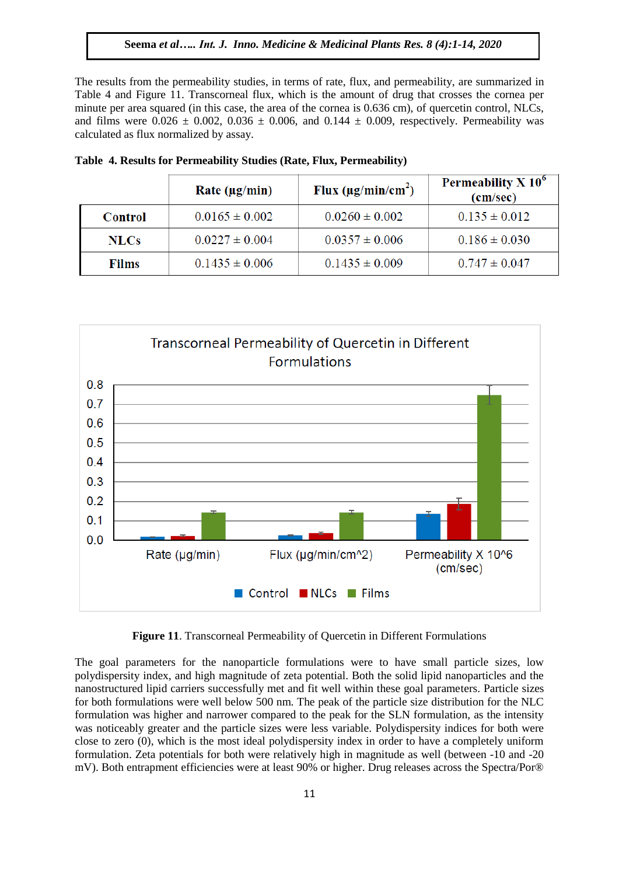The results from the permeability studies, in terms of rate, flux, and permeability, are summarized in Table 4 and Figure 11. Transcorneal flux, which is the amount of drug that crosses the cornea per minute per area squared (in this case, the area of the cornea is 0.636 cm), of quercetin control, NLCs, and films were  $0.026 \pm 0.002$ ,  $0.036 \pm 0.006$ , and  $0.144 \pm 0.009$ , respectively. Permeability was calculated as flux normalized by assay.

|              | Rate ( $\mu$ g/min) | Flux $(\mu g/min/cm^2)$ | Permeability $X$ 10 $^{\circ}$<br>(cm/sec) |
|--------------|---------------------|-------------------------|--------------------------------------------|
| Control      | $0.0165 \pm 0.002$  | $0.0260 \pm 0.002$      | $0.135 \pm 0.012$                          |
| <b>NLCs</b>  | $0.0227 \pm 0.004$  | $0.0357 \pm 0.006$      | $0.186 \pm 0.030$                          |
| <b>Films</b> | $0.1435 \pm 0.006$  | $0.1435 \pm 0.009$      | $0.747 \pm 0.047$                          |

|  | Table 4. Results for Permeability Studies (Rate, Flux, Permeability) |  |  |  |
|--|----------------------------------------------------------------------|--|--|--|
|  |                                                                      |  |  |  |



**Figure 11**. Transcorneal Permeability of Quercetin in Different Formulations

The goal parameters for the nanoparticle formulations were to have small particle sizes, low polydispersity index, and high magnitude of zeta potential. Both the solid lipid nanoparticles and the nanostructured lipid carriers successfully met and fit well within these goal parameters. Particle sizes for both formulations were well below 500 nm. The peak of the particle size distribution for the NLC formulation was higher and narrower compared to the peak for the SLN formulation, as the intensity was noticeably greater and the particle sizes were less variable. Polydispersity indices for both were close to zero (0), which is the most ideal polydispersity index in order to have a completely uniform formulation. Zeta potentials for both were relatively high in magnitude as well (between -10 and -20 mV). Both entrapment efficiencies were at least 90% or higher. Drug releases across the Spectra/Por®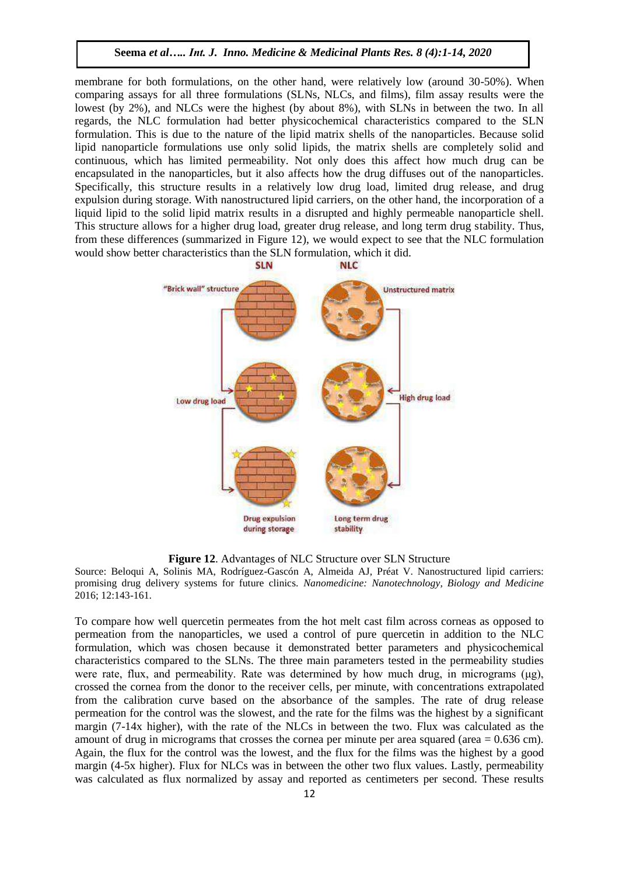membrane for both formulations, on the other hand, were relatively low (around 30-50%). When comparing assays for all three formulations (SLNs, NLCs, and films), film assay results were the lowest (by 2%), and NLCs were the highest (by about 8%), with SLNs in between the two. In all regards, the NLC formulation had better physicochemical characteristics compared to the SLN formulation. This is due to the nature of the lipid matrix shells of the nanoparticles. Because solid lipid nanoparticle formulations use only solid lipids, the matrix shells are completely solid and continuous, which has limited permeability. Not only does this affect how much drug can be encapsulated in the nanoparticles, but it also affects how the drug diffuses out of the nanoparticles. Specifically, this structure results in a relatively low drug load, limited drug release, and drug expulsion during storage. With nanostructured lipid carriers, on the other hand, the incorporation of a liquid lipid to the solid lipid matrix results in a disrupted and highly permeable nanoparticle shell. This structure allows for a higher drug load, greater drug release, and long term drug stability. Thus, from these differences (summarized in Figure 12), we would expect to see that the NLC formulation would show better characteristics than the SLN formulation, which it did.



**Figure 12**. Advantages of NLC Structure over SLN Structure

Source: Beloqui A, Solinis MA, Rodríguez-Gascón A, Almeida AJ, Préat V. Nanostructured lipid carriers: promising drug delivery systems for future clinics. *Nanomedicine: Nanotechnology, Biology and Medicine*  2016; 12:143-161.

To compare how well quercetin permeates from the hot melt cast film across corneas as opposed to permeation from the nanoparticles, we used a control of pure quercetin in addition to the NLC formulation, which was chosen because it demonstrated better parameters and physicochemical characteristics compared to the SLNs. The three main parameters tested in the permeability studies were rate, flux, and permeability. Rate was determined by how much drug, in micrograms  $(\mu g)$ , crossed the cornea from the donor to the receiver cells, per minute, with concentrations extrapolated from the calibration curve based on the absorbance of the samples. The rate of drug release permeation for the control was the slowest, and the rate for the films was the highest by a significant margin (7-14x higher), with the rate of the NLCs in between the two. Flux was calculated as the amount of drug in micrograms that crosses the cornea per minute per area squared (area  $= 0.636$  cm). Again, the flux for the control was the lowest, and the flux for the films was the highest by a good margin (4-5x higher). Flux for NLCs was in between the other two flux values. Lastly, permeability was calculated as flux normalized by assay and reported as centimeters per second. These results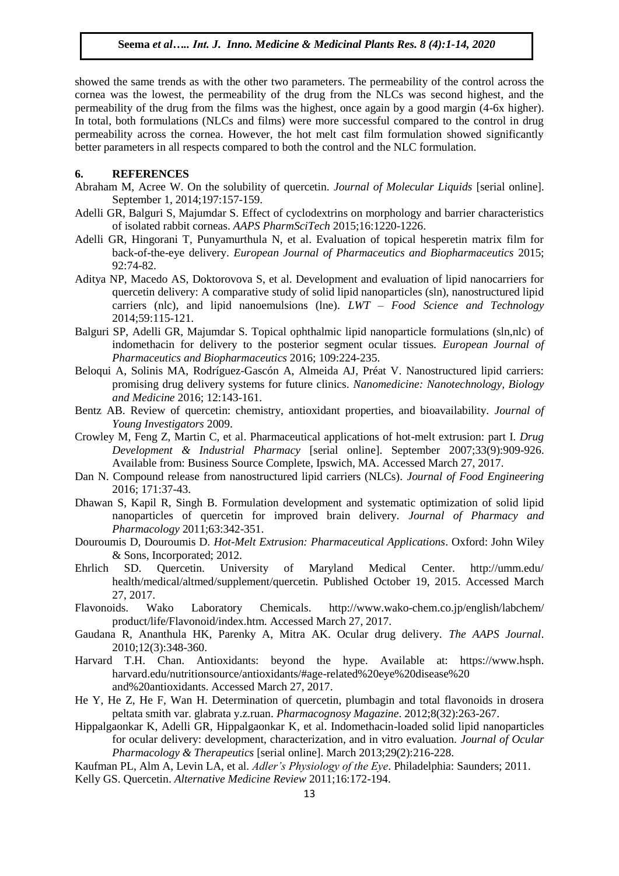showed the same trends as with the other two parameters. The permeability of the control across the cornea was the lowest, the permeability of the drug from the NLCs was second highest, and the permeability of the drug from the films was the highest, once again by a good margin (4-6x higher). In total, both formulations (NLCs and films) were more successful compared to the control in drug permeability across the cornea. However, the hot melt cast film formulation showed significantly better parameters in all respects compared to both the control and the NLC formulation.

# **6. REFERENCES**

- Abraham M, Acree W. On the solubility of quercetin. *Journal of Molecular Liquids* [serial online]. September 1, 2014;197:157-159.
- Adelli GR, Balguri S, Majumdar S. Effect of cyclodextrins on morphology and barrier characteristics of isolated rabbit corneas. *AAPS PharmSciTech* 2015;16:1220-1226.
- Adelli GR, Hingorani T, Punyamurthula N, et al. Evaluation of topical hesperetin matrix film for back-of-the-eye delivery. *European Journal of Pharmaceutics and Biopharmaceutics* 2015; 92:74-82.
- Aditya NP, Macedo AS, Doktorovova S, et al. Development and evaluation of lipid nanocarriers for quercetin delivery: A comparative study of solid lipid nanoparticles (sln), nanostructured lipid carriers (nlc), and lipid nanoemulsions (lne). *LWT – Food Science and Technology*  2014;59:115-121.
- Balguri SP, Adelli GR, Majumdar S. Topical ophthalmic lipid nanoparticle formulations (sln,nlc) of indomethacin for delivery to the posterior segment ocular tissues. *European Journal of Pharmaceutics and Biopharmaceutics* 2016; 109:224-235.
- Beloqui A, Solinis MA, Rodríguez-Gascón A, Almeida AJ, Préat V. Nanostructured lipid carriers: promising drug delivery systems for future clinics. *Nanomedicine: Nanotechnology, Biology and Medicine* 2016; 12:143-161.
- Bentz AB. Review of quercetin: chemistry, antioxidant properties, and bioavailability. *Journal of Young Investigators* 2009.
- Crowley M, Feng Z, Martin C, et al. Pharmaceutical applications of hot-melt extrusion: part I. *Drug Development & Industrial Pharmacy* [serial online]. September 2007;33(9):909-926. Available from: Business Source Complete, Ipswich, MA. Accessed March 27, 2017.
- Dan N. Compound release from nanostructured lipid carriers (NLCs). *Journal of Food Engineering*  2016; 171:37-43.
- Dhawan S, Kapil R, Singh B. Formulation development and systematic optimization of solid lipid nanoparticles of quercetin for improved brain delivery*. Journal of Pharmacy and Pharmacology* 2011;63:342-351.
- Douroumis D, Douroumis D. *Hot-Melt Extrusion: Pharmaceutical Applications*. Oxford: John Wiley & Sons, Incorporated; 2012.
- Ehrlich SD. Quercetin. University of Maryland Medical Center. http://umm.edu/ health/medical/altmed/supplement/quercetin. Published October 19, 2015. Accessed March 27, 2017.
- Flavonoids. Wako Laboratory Chemicals. http://www.wako-chem.co.jp/english/labchem/ product/life/Flavonoid/index.htm. Accessed March 27, 2017.
- Gaudana R, Ananthula HK, Parenky A, Mitra AK. Ocular drug delivery. *The AAPS Journal*. 2010;12(3):348-360.
- Harvard T.H. Chan. Antioxidants: beyond the hype. Available at: https://www.hsph. harvard.edu/nutritionsource/antioxidants/#age-related%20eye%20disease%20 and%20antioxidants. Accessed March 27, 2017.
- He Y, He Z, He F, Wan H. Determination of quercetin, plumbagin and total flavonoids in drosera peltata smith var. glabrata y.z.ruan. *Pharmacognosy Magazine*. 2012;8(32):263-267.
- Hippalgaonkar K, Adelli GR, Hippalgaonkar K, et al. Indomethacin-loaded solid lipid nanoparticles for ocular delivery: development, characterization, and in vitro evaluation. *Journal of Ocular Pharmacology & Therapeutics* [serial online]. March 2013;29(2):216-228.
- Kaufman PL, Alm A, Levin LA, et al. *Adler's Physiology of the Eye*. Philadelphia: Saunders; 2011.
- Kelly GS. Quercetin. *Alternative Medicine Review* 2011;16:172-194.